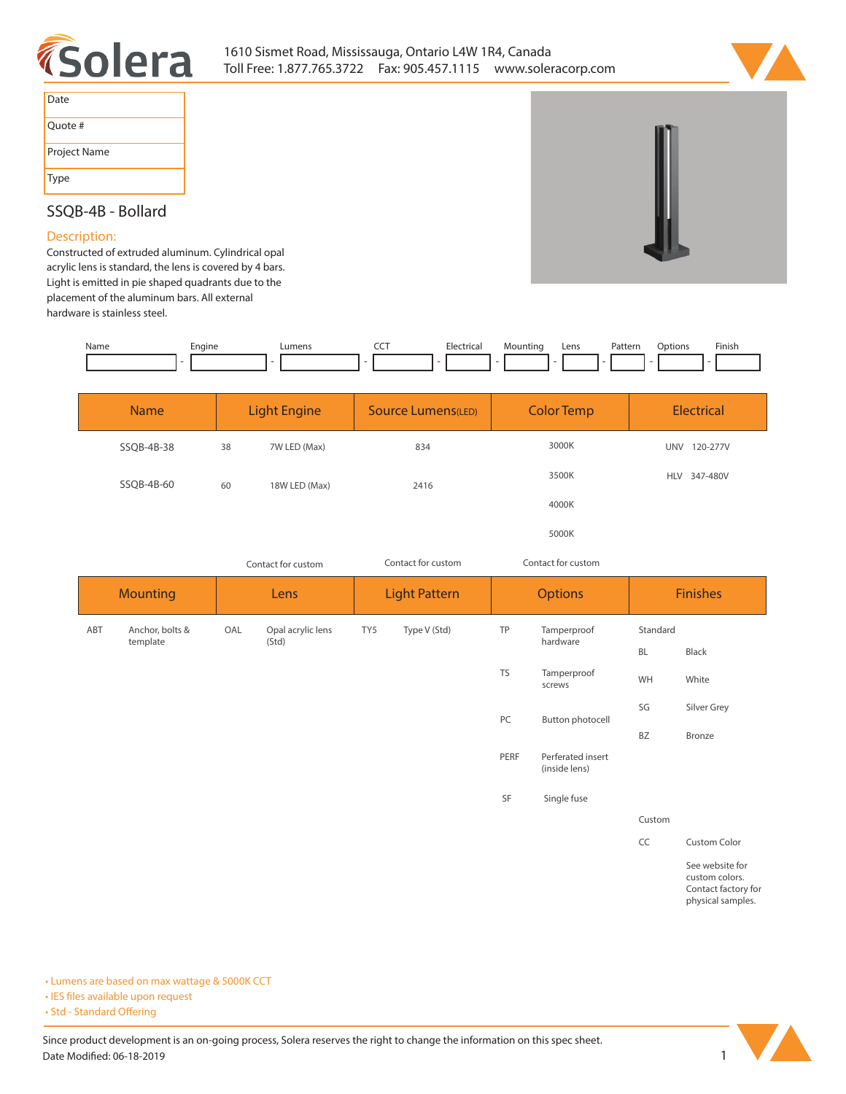



| Date         |
|--------------|
| Quote #      |
| Project Name |
| Type         |

# **SSQB-4B - Bollard**

#### **Description:**

**Constructed of extruded aluminum. Cylindrical opal acrylic lens is standard, the lens is covered by 4 bars. Light is emitted in pie shaped quadrants due to the placement of the aluminum bars. All external hardware is stainless steel.** 

| Name | Engine<br>. . | umen: | $- - -$ | Electrical<br>$\sim$ $\sim$ | ,viountino | Lens | Pattern<br>. | Dotions'<br>. | Finish |
|------|---------------|-------|---------|-----------------------------|------------|------|--------------|---------------|--------|
|      |               |       |         |                             |            |      |              |               |        |

| <b>Name</b> |    | <b>Light Engine</b> | <b>Source Lumens(LED)</b> | <b>Color Temp</b> | Electrical             |
|-------------|----|---------------------|---------------------------|-------------------|------------------------|
| SSQB-4B-38  | 38 | 7W LED (Max)        | 834                       | 3000K             | <b>UNV</b><br>120-277V |
| SSQB-4B-60  | 60 | 18W LED (Max)       | 2416                      | 3500K             | 347-480V<br><b>HLV</b> |
|             |    |                     |                           | 4000K             |                        |
|             |    |                     |                           | 5000K             |                        |

**Mounting ABT Anchor, bolts & template Lens Light Pattern Options Finishes OAL Opal acrylic lens TY5 Type V (Std) (Std) TP Tamperproof hardware TS Tamperproof screws BL Black WH White SG Silver Grey BZ Bronze** *Contact for custom Contact for custom Contact for custom* **PC Button photocell PERF Perferated insert (inside lens) SF Single fuse Standard Custom**

**CC Custom Color**

**See website for custom colors. Contact factory for physical samples.** 

**• Lumens are based on max wattage & 5000K CCT**

**• IES files available upon request** 

• Std - Standard Offering

Since product development is an on-going process, Solera reserves the right to change the information on this spec sheet. Date Modified: 06-18-2019